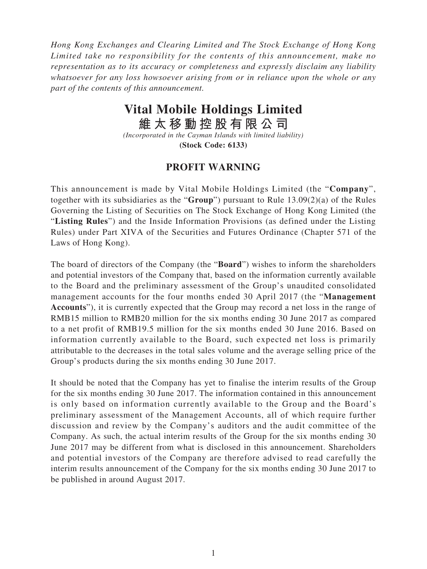*Hong Kong Exchanges and Clearing Limited and The Stock Exchange of Hong Kong Limited take no responsibility for the contents of this announcement, make no representation as to its accuracy or completeness and expressly disclaim any liability whatsoever for any loss howsoever arising from or in reliance upon the whole or any part of the contents of this announcement.*

## **Vital Mobile Holdings Limited**

**維太移動控股有限公司**

*(Incorporated in the Cayman Islands with limited liability)* **(Stock Code: 6133)**

## **PROFIT WARNING**

This announcement is made by Vital Mobile Holdings Limited (the "**Company**", together with its subsidiaries as the "**Group**") pursuant to Rule 13.09(2)(a) of the Rules Governing the Listing of Securities on The Stock Exchange of Hong Kong Limited (the "**Listing Rules**") and the Inside Information Provisions (as defined under the Listing Rules) under Part XIVA of the Securities and Futures Ordinance (Chapter 571 of the Laws of Hong Kong).

The board of directors of the Company (the "**Board**") wishes to inform the shareholders and potential investors of the Company that, based on the information currently available to the Board and the preliminary assessment of the Group's unaudited consolidated management accounts for the four months ended 30 April 2017 (the "**Management Accounts**"), it is currently expected that the Group may record a net loss in the range of RMB15 million to RMB20 million for the six months ending 30 June 2017 as compared to a net profit of RMB19.5 million for the six months ended 30 June 2016. Based on information currently available to the Board, such expected net loss is primarily attributable to the decreases in the total sales volume and the average selling price of the Group's products during the six months ending 30 June 2017.

It should be noted that the Company has yet to finalise the interim results of the Group for the six months ending 30 June 2017. The information contained in this announcement is only based on information currently available to the Group and the Board's preliminary assessment of the Management Accounts, all of which require further discussion and review by the Company's auditors and the audit committee of the Company. As such, the actual interim results of the Group for the six months ending 30 June 2017 may be different from what is disclosed in this announcement. Shareholders and potential investors of the Company are therefore advised to read carefully the interim results announcement of the Company for the six months ending 30 June 2017 to be published in around August 2017.